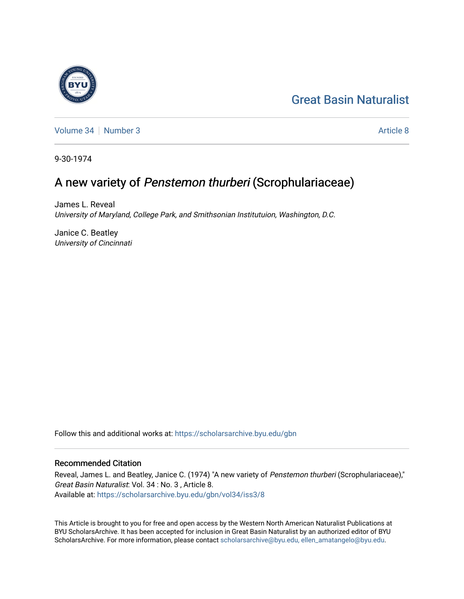# [Great Basin Naturalist](https://scholarsarchive.byu.edu/gbn)

[Volume 34](https://scholarsarchive.byu.edu/gbn/vol34) | [Number 3](https://scholarsarchive.byu.edu/gbn/vol34/iss3) [Article 8](https://scholarsarchive.byu.edu/gbn/vol34/iss3/8) Article 8 Article 8 Article 8 Article 8 Article 8 Article 8 Article 8 Article 8

9-30-1974

## A new variety of Penstemon thurberi (Scrophulariaceae)

James L. Reveal University of Maryland, College Park, and Smithsonian Institutuion, Washington, D.C.

Janice C. Beatley University of Cincinnati

Follow this and additional works at: [https://scholarsarchive.byu.edu/gbn](https://scholarsarchive.byu.edu/gbn?utm_source=scholarsarchive.byu.edu%2Fgbn%2Fvol34%2Fiss3%2F8&utm_medium=PDF&utm_campaign=PDFCoverPages) 

### Recommended Citation

Reveal, James L. and Beatley, Janice C. (1974) "A new variety of Penstemon thurberi (Scrophulariaceae)," Great Basin Naturalist: Vol. 34 : No. 3 , Article 8. Available at: [https://scholarsarchive.byu.edu/gbn/vol34/iss3/8](https://scholarsarchive.byu.edu/gbn/vol34/iss3/8?utm_source=scholarsarchive.byu.edu%2Fgbn%2Fvol34%2Fiss3%2F8&utm_medium=PDF&utm_campaign=PDFCoverPages)

This Article is brought to you for free and open access by the Western North American Naturalist Publications at BYU ScholarsArchive. It has been accepted for inclusion in Great Basin Naturalist by an authorized editor of BYU ScholarsArchive. For more information, please contact [scholarsarchive@byu.edu, ellen\\_amatangelo@byu.edu.](mailto:scholarsarchive@byu.edu,%20ellen_amatangelo@byu.edu)